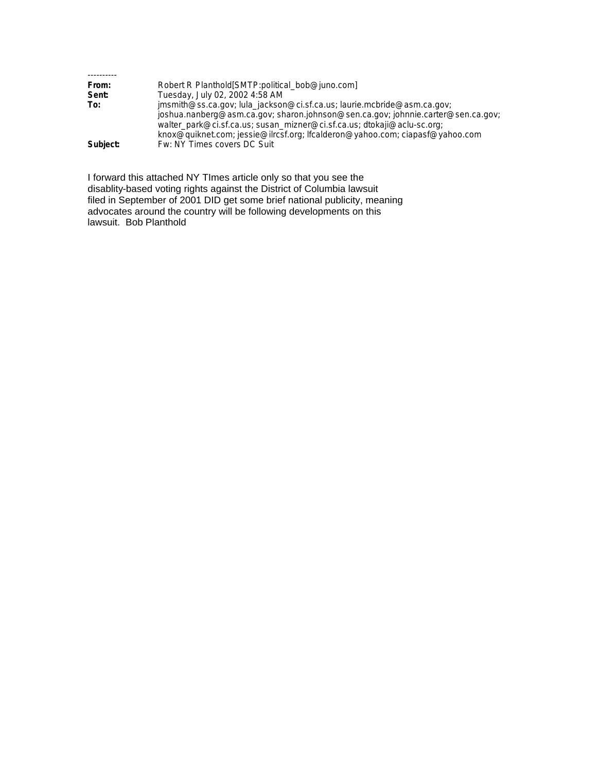| From:    | Robert R Planthold [SMTP:political_bob@juno.com]                                 |
|----------|----------------------------------------------------------------------------------|
| Sent:    | Tuesday, July 02, 2002 4:58 AM                                                   |
| To:      | jmsmith@ss.ca.gov; lula_jackson@ci.sf.ca.us; laurie.mcbride@asm.ca.gov;          |
|          | joshua.nanberg@asm.ca.gov; sharon.johnson@sen.ca.gov; johnnie.carter@sen.ca.gov; |
|          | walter_park@ci.sf.ca.us; susan_mizner@ci.sf.ca.us; dtokaji@aclu-sc.org;          |
|          | knox@quiknet.com; jessie@ilrcsf.org; lfcalderon@yahoo.com; ciapasf@yahoo.com     |
| Subject: | Fw: NY Times covers DC Suit                                                      |

I forward this attached NY TImes article only so that you see the disablity-based voting rights against the District of Columbia lawsuit filed in September of 2001 DID get some brief national publicity, meaning advocates around the country will be following developments on this lawsuit. Bob Planthold